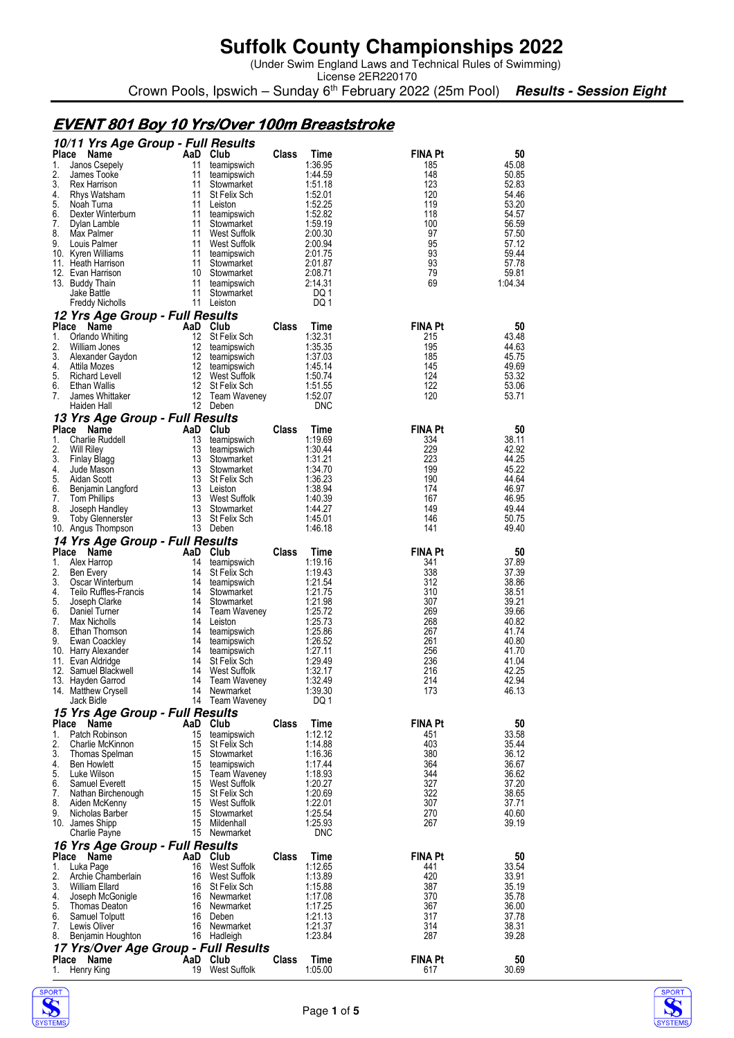(Under Swim England Laws and Technical Rules of Swimming)

License 2ER220170 Crown Pools, Ipswich – Sunday 6<sup>th</sup> February 2022 (25m Pool) **Results - Session Eight** 

#### **EVENT 801 Boy 10 Yrs/Over 100m Breaststroke**

|                    | 10/11 Yrs Age Group - Full Results           |          |                                   |       |                    |                       |                |
|--------------------|----------------------------------------------|----------|-----------------------------------|-------|--------------------|-----------------------|----------------|
| <b>Place</b><br>1. | Name<br>Janos Csepely                        | 11       | AaD Club<br>teamipswich           | Class | Time<br>1:36.95    | <b>FINA Pt</b><br>185 | 50<br>45.08    |
| 2.                 | James Tooke                                  | 11       | teamipswich                       |       | 1:44.59            | 148                   | 50.85          |
| 3.                 | Rex Harrison                                 | 11       | Stowmarket                        |       | 1:51.18            | 123                   | 52.83          |
| 4.<br>5.           | Rhys Watsham<br>Noah Turna                   | 11<br>11 | St Felix Sch<br>Leiston           |       | 1:52.01<br>1:52.25 | 120<br>119            | 54.46<br>53.20 |
| 6.                 | Dexter Winterburn                            | 11       | teamipswich                       |       | 1:52.82            | 118                   | 54.57          |
| 7.                 | Dylan Lamble                                 | 11       | Stowmarket                        |       | 1:59.19            | 100                   | 56.59          |
| 8.                 | Max Palmer                                   | 11       | West Suffolk                      |       | 2:00.30            | 97                    | 57.50          |
| 9.                 | Louis Palmer<br>10. Kyren Williams           | 11<br>11 | West Suffolk<br>teamipswich       |       | 2:00.94<br>2:01.75 | 95<br>93              | 57.12<br>59.44 |
|                    | 11. Heath Harrison                           | 11       | Stowmarket                        |       | 2:01.87            | 93                    | 57.78          |
|                    | 12. Evan Harrison                            | 10       | Stowmarket                        |       | 2:08.71            | 79                    | 59.81          |
|                    | 13. Buddy Thain                              | 11       | teamipswich                       |       | 2:14.31            | 69                    | 1:04.34        |
|                    | Jake Battle<br>Freddy Nicholls               | 11       | Stowmarket<br>11 Leiston          |       | DQ 1<br>DQ 1       |                       |                |
|                    | 12 Yrs Age Group - Full Results              |          |                                   |       |                    |                       |                |
| Place              | Name                                         |          | AaD Club                          | Class | Time               | <b>FINA Pt</b>        | 50             |
| 1.                 | Orlando Whiting                              | 12       | St Felix Sch                      |       | 1:32.31            | 215                   | 43.48          |
| 2.                 | William Jones                                | 12       | teamipswich                       |       | 1:35.35            | 195                   | 44.63          |
| 3.<br>4.           | Alexander Gaydon<br>Attila Mozes             | 12<br>12 | teamipswich<br>teamipswich        |       | 1:37.03<br>1:45.14 | 185<br>145            | 45.75<br>49.69 |
| 5.                 | Richard Levell                               | 12       | West Suffolk                      |       | 1:50.74            | 124                   | 53.32          |
| 6.                 | Ethan Wallis                                 | 12       | St Felix Sch                      |       | 1:51.55            | 122                   | 53.06          |
| 7.                 | James Whittaker                              | 12       | Team Waveney                      |       | 1:52.07            | 120                   | 53.71          |
|                    | Haiden Hall                                  |          | 12 Deben                          |       | <b>DNC</b>         |                       |                |
| Place              | 13 Yrs Age Group - Full Results<br>Name      |          | AaD Club                          | Class | Time               | <b>FINA Pt</b>        | 50             |
| 1.                 | Charlie Ruddell                              | 13       | teamipswich                       |       | 1:19.69            | 334                   | 38.11          |
| 2.                 | <b>Will Riley</b>                            | 13       | teamipswich                       |       | 1:30.44            | 229                   | 42.92          |
| 3.                 | Finlay Blagg                                 | 13       | Stowmarket                        |       | 1:31.21            | 223                   | 44.25          |
| 4.<br>5.           | Jude Mason<br>Aidan Scott                    | 13<br>13 | Stowmarket                        |       | 1:34.70<br>1:36.23 | 199<br>190            | 45.22<br>44.64 |
| 6.                 | Benjamin Langford                            |          | St Felix Sch<br>13 Leiston        |       | 1:38.94            | 174                   | 46.97          |
| 7.                 | Tom Phillips                                 |          | 13 West Suffolk                   |       | 1:40.39            | 167                   | 46.95          |
| 8.                 | Joseph Handley                               | 13       | Stowmarket                        |       | 1:44.27            | 149                   | 49.44          |
| 9.                 | <b>Toby Glennerster</b>                      |          | 13 St Felix Sch<br>13 Deben       |       | 1:45.01<br>1:46.18 | 146<br>141            | 50.75<br>49.40 |
|                    | 10. Angus Thompson                           |          |                                   |       |                    |                       |                |
| Place              | 14 Yrs Age Group - Full Results<br>Name      |          | AaD Club                          | Class | Time               | <b>FINA Pt</b>        | 50             |
| 1.                 | Alex Harrop                                  | 14       | teamipswich                       |       | 1:19.16            | 341                   | 37.89          |
| 2.                 | Ben Every                                    | 14       | St Felix Sch                      |       | 1:19.43            | 338                   | 37.39          |
| 3.                 | Oscar Winterburn                             | 14       | teamipswich                       |       | 1:21.54            | 312                   | 38.86          |
| 4.<br>5.           | Teilo Ruffles-Francis<br>Joseph Clarke       | 14<br>14 | Stowmarket<br>Stowmarket          |       | 1:21.75<br>1:21.98 | 310<br>307            | 38.51<br>39.21 |
| 6.                 | Daniel Turner                                | 14       | Team Waveney                      |       | 1:25.72            | 269                   | 39.66          |
| 7.                 | Max Nicholls                                 |          | 14 Leiston                        |       | 1:25.73            | 268                   | 40.82          |
| 8.                 | Ethan Thomson                                | 14       | teamipswich                       |       | 1:25.86            | 267                   | 41.74          |
| 9.                 | Ewan Coackley<br>10. Harry Alexander         | 14<br>14 | teamipswich<br>teamipswich        |       | 1:26.52<br>1:27.11 | 261<br>256            | 40.80<br>41.70 |
|                    | 11. Evan Aldridge                            | 14       | St Felix Sch                      |       | 1:29.49            | 236                   | 41.04          |
|                    | 12. Samuel Blackwell                         | 14       | West Suffolk                      |       | 1:32.17            | 216                   | 42.25          |
|                    | 13. Hayden Garrod                            | 14       | <b>Team Waveney</b>               |       | 1:32.49            | 214                   | 42.94          |
|                    | 14. Matthew Crysell<br>Jack Bidle            |          | 14 Newmarket<br>14 Team Waveney   |       | 1:39.30<br>DQ 1    | 173                   | 46.13          |
|                    | 15 Yrs Age Group - Full Results              |          |                                   |       |                    |                       |                |
| Place              | Name                                         |          | AaD Club                          | Class | Time               | <b>FINA Pt</b>        | 50             |
| 1.                 | Patch Robinson                               | 15       | teamipswich                       |       | 1:12.12            | 451                   | 33.58          |
| 2.                 | Charlie McKinnon                             | 15       | St Felix Sch                      |       | 1:14.88            | 403                   | 35.44          |
| 3.<br>4.           | Thomas Spelman<br><b>Ben Howlett</b>         | 15<br>15 | Stowmarket<br>teamipswich         |       | 1:16.36<br>1:17.44 | 380<br>364            | 36.12<br>36.67 |
| 5.                 | Luke Wilson                                  | 15       | Team Waveney                      |       | 1:18.93            | 344                   | 36.62          |
| 6.                 | Samuel Everett                               | 15       | West Suffolk                      |       | 1:20.27            | 327                   | 37.20          |
| 7.                 | Nathan Birchenough                           | 15       | St Felix Sch                      |       | 1:20.69            | 322                   | 38.65          |
| 8.<br>9.           | Aiden McKenny<br>Nicholas Barber             | 15<br>15 | <b>West Suffolk</b><br>Stowmarket |       | 1:22.01<br>1:25.54 | 307<br>270            | 37.71<br>40.60 |
|                    | 10. James Shipp                              | 15       | Mildenhall                        |       | 1:25.93            | 267                   | 39.19          |
|                    | Charlie Payne                                |          | 15 Newmarket                      |       | DNC                |                       |                |
|                    | 16 Yrs Age Group - Full Results              |          |                                   |       |                    |                       |                |
| Place              | Name                                         |          | AaD Club                          | Class | Time               | FINA Pt               | 50             |
| 1.                 | Luka Page                                    | 16       | West Suffolk<br>West Suffolk      |       | 1:12.65<br>1:13.89 | 441<br>420            | 33.54          |
|                    |                                              |          |                                   |       |                    |                       |                |
| 2.<br>3.           | Archie Chamberlain<br>William Ellard         | 16<br>16 |                                   |       | 1:15.88            | 387                   | 33.91<br>35.19 |
| 4.                 | Joseph McGonigle                             |          | St Felix Sch<br>16 Newmarket      |       | 1:17.08            | 370                   | 35.78          |
| 5.                 | Thomas Deaton                                |          | 16 Newmarket                      |       | 1:17.25            | 367                   | 36.00          |
| 6.                 | Samuel Tolputt                               | 16       | Deben                             |       | 1:21.13            | 317                   | 37.78          |
| 7.<br>8.           | Lewis Oliver                                 |          | 16 Newmarket                      |       | 1:21.37<br>1:23.84 | 314<br>287            | 38.31<br>39.28 |
|                    | Benjamin Houghton                            |          | 16 Hadleigh                       |       |                    |                       |                |
| Place              | 17 Yrs/Over Age Group - Full Results<br>Name |          | AaD Club<br>19 West Suffolk       | Class | Time<br>1:05.00    | <b>FINA Pt</b>        | 50<br>30.69    |



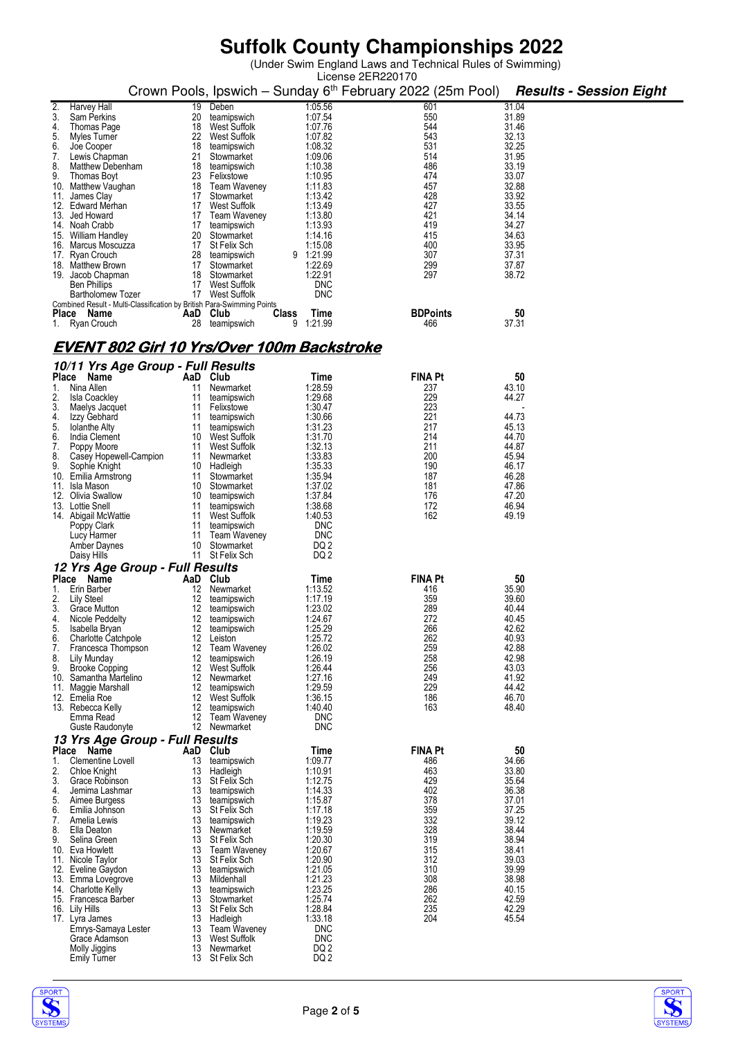(Under Swim England Laws and Technical Rules of Swimming)

|     |                                             |          |                                                                        |           |                    | License 2ER220170 |                 |                |    |                                |
|-----|---------------------------------------------|----------|------------------------------------------------------------------------|-----------|--------------------|-------------------|-----------------|----------------|----|--------------------------------|
|     |                                             |          | Crown Pools, Ipswich - Sunday 6 <sup>th</sup> February 2022 (25m Pool) |           |                    |                   |                 |                |    | <b>Results - Session Eight</b> |
|     |                                             |          |                                                                        |           |                    |                   |                 |                |    |                                |
| 2.  | Harvey Hall                                 | 19       | Deben                                                                  |           | 1:05.56            |                   | 601             | 31.04          |    |                                |
| 3.  | <b>Sam Perkins</b>                          | 20       | teamipswich                                                            |           | 1:07.54            |                   | 550             | 31.89          |    |                                |
| 4.  | Thomas Page                                 | 18       | West Suffolk                                                           |           | 1:07.76            |                   | 544             | 31.46          |    |                                |
| 5.  | Myles Turner                                | 22       | <b>West Suffolk</b>                                                    |           | 1:07.82            |                   | 543             | 32.13          |    |                                |
| 6.  | Joe Cooper                                  | 18       | teamipswich                                                            |           | 1:08.32            |                   | 531             | 32.25          |    |                                |
| 7.  | Lewis Chapman                               | 21       | Stowmarket                                                             |           | 1:09.06            |                   | 514             | 31.95          |    |                                |
| 8.  | Matthew Debenham                            | 18       | teamipswich                                                            |           | 1:10.38            |                   | 486             | 33.19          |    |                                |
| 9.  | Thomas Boyt                                 | 23       | Felixstowe                                                             |           | 1:10.95            |                   | 474             | 33.07          |    |                                |
|     | 10. Matthew Vaughan                         | 18       | Team Waveney                                                           |           | 1:11.83            |                   | 457             | 32.88          |    |                                |
| 11. | James Clay                                  | 17       | Stowmarket                                                             |           | 1:13.42            |                   | 428             | 33.92          |    |                                |
|     | 12. Edward Merhan                           | 17       | <b>West Suffolk</b>                                                    |           | 1:13.49            |                   | 427             | 33.55          |    |                                |
|     | 13. Jed Howard                              | 17       | <b>Team Waveney</b>                                                    |           | 1:13.80            |                   | 421             | 34.14          |    |                                |
|     | 14. Noah Crabb                              | 17       | teamipswich                                                            |           | 1:13.93            |                   | 419             | 34.27          |    |                                |
|     | 15. William Handley                         | 20       | Stowmarket                                                             |           | 1:14.16            |                   | 415             | 34.63          |    |                                |
|     | 16. Marcus Moscuzza                         | 17       | St Felix Sch                                                           |           | 1:15.08            |                   | 400             | 33.95          |    |                                |
|     | 17. Ryan Crouch<br>18. Matthew Brown        | 28<br>17 | teamipswich<br>Stowmarket                                              | 9 1:21.99 | 1:22.69            |                   | 307<br>299      | 37.31<br>37.87 |    |                                |
|     | 19. Jacob Chapman                           | 18       | Stowmarket                                                             |           | 1:22.91            |                   | 297             | 38.72          |    |                                |
|     | <b>Ben Phillips</b>                         | 17       | West Suffolk                                                           |           | DNC                |                   |                 |                |    |                                |
|     | <b>Bartholomew Tozer</b>                    | 17       | West Suffolk                                                           |           | <b>DNC</b>         |                   |                 |                |    |                                |
|     |                                             |          | Combined Result - Multi-Classification by British Para-Swimming Points |           |                    |                   |                 |                |    |                                |
|     | Place Name                                  | AaD Club |                                                                        | Class     | Time               |                   | <b>BDPoints</b> |                | 50 |                                |
|     | 1. Ryan Crouch                              | 28       | teamipswich                                                            | 9         | 1:21.99            |                   | 466             | 37.31          |    |                                |
|     |                                             |          |                                                                        |           |                    |                   |                 |                |    |                                |
|     |                                             |          |                                                                        |           |                    |                   |                 |                |    |                                |
|     |                                             |          | <u>EVENT 802 Girl 10 Yrs/Over 100m Backstroke</u>                      |           |                    |                   |                 |                |    |                                |
|     | 10/11 Yrs Age Group - Full Results          |          |                                                                        |           |                    |                   |                 |                |    |                                |
|     | Place<br>Name                               | AaD Club |                                                                        |           | Time               |                   | <b>FINA Pt</b>  |                | 50 |                                |
| 1.  | Nina Allen                                  | 11       | Newmarket                                                              |           | 1:28.59            |                   | 237             | 43.10          |    |                                |
| 2.  | <b>Isla Coackley</b>                        | 11       | teamipswich                                                            |           | 1:29.68            |                   | 229             | 44.27          |    |                                |
| 3.  | Maelys Jacquet                              | 11       | Felixstowe                                                             |           | 1:30.47            |                   | 223             |                |    |                                |
| 4.  | Izzy Gebhard                                | 11       | teamipswich                                                            |           | 1:30.66            |                   | 221             | 44.73          |    |                                |
| 5.  | <b>Iolanthe Alty</b>                        | 11       | teamipswich                                                            |           | 1:31.23            |                   | 217             | 45.13          |    |                                |
| 6.  | India Clement                               | 10       | West Suffolk                                                           |           | 1:31.70            |                   | 214             | 44.70          |    |                                |
| 7.  | Poppy Moore                                 | 11       | West Suffolk                                                           |           | 1:32.13            |                   | 211             | 44.87          |    |                                |
| 8.  | Casey Hopewell-Campion                      | 11       | Newmarket                                                              |           | 1:33.83            |                   | 200             | 45.94          |    |                                |
| 9.  | Sophie Knight                               |          | 10 Hadleigh                                                            |           | 1:35.33            |                   | 190             | 46.17          |    |                                |
|     | 10. Emilia Armstrong                        | 11       | Stowmarket                                                             |           | 1:35.94            |                   | 187             | 46.28          |    |                                |
| 11. | Isla Mason                                  | 10       | Stowmarket                                                             |           | 1:37.02            |                   | 181             | 47.86          |    |                                |
|     | 12. Olivia Swallow                          | 10       | teamipswich                                                            |           | 1:37.84            |                   | 176             | 47.20          |    |                                |
|     | 13. Lottie Snell                            | 11       | teamipswich                                                            |           | 1:38.68            |                   | 172             | 46.94          |    |                                |
|     | 14. Abigail McWattie                        | 11       | West Suffolk                                                           |           | 1:40.53            |                   | 162             | 49.19          |    |                                |
|     | Poppy Clark                                 | 11       | teamipswich                                                            |           | <b>DNC</b>         |                   |                 |                |    |                                |
|     | Lucy Harmer                                 | 11       | Team Waveney                                                           |           | <b>DNC</b>         |                   |                 |                |    |                                |
|     | Amber Daynes                                | 10       | Stowmarket                                                             |           | DQ 2               |                   |                 |                |    |                                |
|     | Daisy Hills                                 | 11       | St Felix Sch                                                           |           | DQ 2               |                   |                 |                |    |                                |
|     | 12 Yrs Age Group - Full Results             |          |                                                                        |           |                    |                   |                 |                |    |                                |
|     | Place Name                                  | AaD Club |                                                                        |           | Time               |                   | <b>FINA Pt</b>  |                | 50 |                                |
| 1.  | Erin Barber                                 | 12       | Newmarket                                                              |           | 1:13.52            |                   | 416             | 35.90          |    |                                |
| 2.  | Lily Steel                                  | 12       | teamipswich                                                            |           | 1:17.19            |                   | 359             | 39.60          |    |                                |
| 3.  | Grace Mutton                                | 12       | teamipswich                                                            |           | 1:23.02            |                   | 289             | 40.44          |    |                                |
| 4.  | Nicole Peddelty                             | 12       | teamipswich                                                            |           | 1:24.67            |                   | 272             | 40.45          |    |                                |
| 5.  | Isabella Bryan                              | 12.      | teamipswich                                                            |           | 1:25.29            |                   | 266             | 42.62          |    |                                |
| 6.  | <b>Charlotte Catchpole</b>                  | 12       | Leiston                                                                |           | 1:25.72            |                   | 262             | 40.93          |    |                                |
| 7.  | Francesca Thompson                          | 12       | Team Waveney                                                           |           | 1:26.02            |                   | 259             | 42.88          |    |                                |
| 8.  | Lily Munday                                 | 12       | teamipswich                                                            |           | 1:26.19            |                   | 258             | 42.98          |    |                                |
| 9.  | <b>Brooke Copping</b>                       | 12       | West Suffolk                                                           |           | 1:26.44            |                   | 256             | 43.03          |    |                                |
|     | 10. Samantha Martelino                      | 12       | Newmarket                                                              |           | 1:27.16            |                   | 249             | 41.92          |    |                                |
|     | 11. Maggie Marshall                         | 12       | teamipswich                                                            |           | 1:29.59            |                   | 229             | 44.42          |    |                                |
|     | 12. Emelia Roe                              | 12       | <b>West Suffolk</b>                                                    |           | 1:36.15            |                   | 186             | 46.70          |    |                                |
|     | 13. Rebecca Kelly                           | 12       | teamipswich                                                            |           | 1:40.40            |                   | 163             | 48.40          |    |                                |
|     | Emma Read                                   | 12       | Team Waveney                                                           |           | <b>DNC</b>         |                   |                 |                |    |                                |
|     | Guste Raudonyte                             |          | 12 Newmarket                                                           |           | DNC                |                   |                 |                |    |                                |
|     | 13 Yrs Age Group - Full Results             |          |                                                                        |           |                    |                   |                 |                |    |                                |
|     | Place Name                                  | AaD      | Club                                                                   |           | Time               |                   | <b>FINA Pt</b>  |                | 50 |                                |
| 1.  | Clementine Lovell                           | 13       | teamipswich                                                            |           | 1:09.77            |                   | 486             | 34.66          |    |                                |
| 2.  | Chloe Knight                                | 13       | Hadleigh                                                               |           | 1:10.91            |                   | 463             | 33.80          |    |                                |
| 3.  | Grace Robinson                              | 13       | <b>St Felix Sch</b>                                                    |           | 1:12.75            |                   | 429             | 35.64          |    |                                |
| 4.  | Jemima Lashmar                              | 13       | teamipswich                                                            |           | 1:14.33            |                   | 402             | 36.38          |    |                                |
| 5.  | Aimee Burgess                               | 13       | teamipswich                                                            |           | 1:15.87            |                   | 378             | 37.01          |    |                                |
| 6.  | Emilia Johnson                              | 13       | St Felix Sch                                                           |           | 1:17.18            |                   | 359             | 37.25          |    |                                |
| 7.  | Amelia Lewis                                | 13       | teamipswich                                                            |           | 1:19.23            |                   | 332             | 39.12          |    |                                |
| 8.  | Ella Deaton                                 | 13       | Newmarket                                                              |           | 1:19.59            |                   | 328             | 38.44          |    |                                |
| 9.  | Selina Green                                | 13       | St Felix Sch                                                           |           | 1:20.30            |                   | 319             | 38.94          |    |                                |
|     | 10. Eva Howlett                             | 13       | Team Waveney                                                           |           | 1:20.67            |                   | 315             | 38.41          |    |                                |
|     | 11. Nicole Taylor                           | 13       | St Felix Sch                                                           |           | 1:20.90            |                   | 312             | 39.03          |    |                                |
|     | 12. Eveline Gaydon                          | 13       | teamipswich                                                            |           | 1:21.05            |                   | 310             | 39.99          |    |                                |
|     | 13. Emma Lovegrove                          | 13       | Mildenhall                                                             |           | 1:21.23            |                   | 308             | 38.98          |    |                                |
|     | 14. Charlotte Kelly<br>15. Francesca Barber | 13<br>13 | teamipswich<br>Stowmarket                                              |           | 1:23.25<br>1:25.74 |                   | 286<br>262      | 40.15<br>42.59 |    |                                |
|     | 16. Lily Hills                              | 13       | St Felix Sch                                                           |           | 1:28.84            |                   | 235             | 42.29          |    |                                |
|     | 17. Lyra James                              | 13       | Hadleigh                                                               |           | 1:33.18            |                   | 204             | 45.54          |    |                                |
|     | Emrys-Samaya Lester                         | 13       | <b>Team Waveney</b>                                                    |           | <b>DNC</b>         |                   |                 |                |    |                                |
|     | Grace Adamson                               | 13       | West Suffolk                                                           |           | <b>DNC</b>         |                   |                 |                |    |                                |
|     | Molly Jiggins                               | 13       | Newmarket                                                              |           | DQ <sub>2</sub>    |                   |                 |                |    |                                |
|     | <b>Emily Turner</b>                         |          | 13 St Felix Sch                                                        |           | DQ <sub>2</sub>    |                   |                 |                |    |                                |



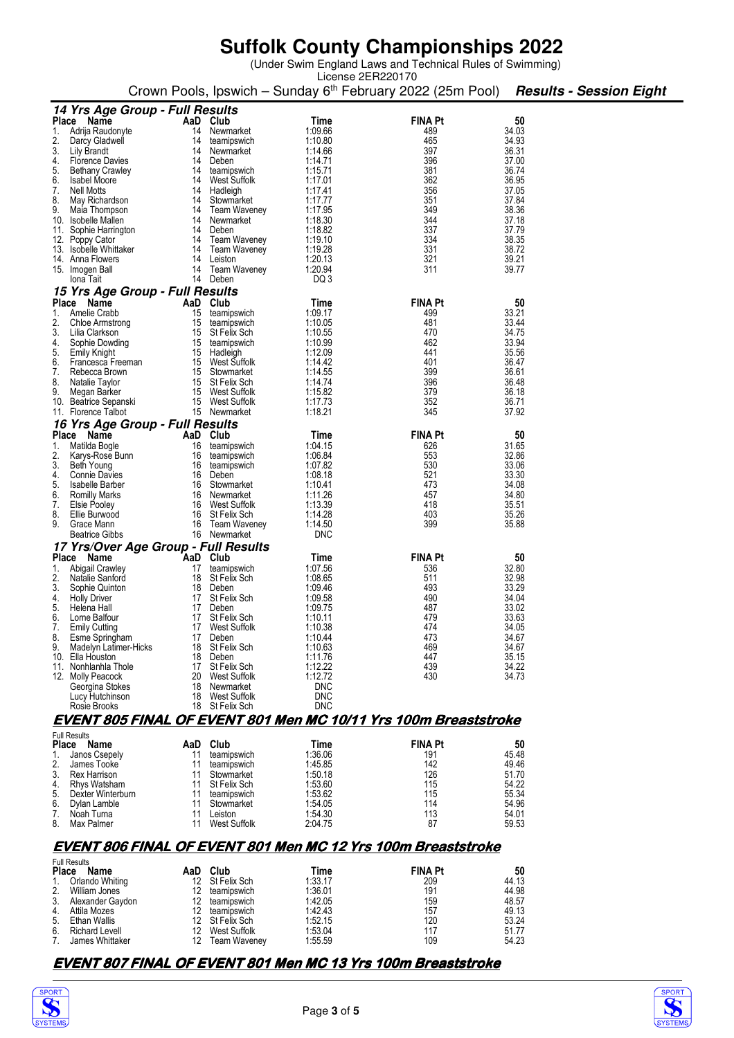(Under Swim England Laws and Technical Rules of Swimming) License 2ER220170

|          |                                                    |           |                                 |                          | Crown Pools, Ipswich – Sunday 6 <sup>th</sup> February 2022 (25m Pool) |                | <b>Results - Session Eight</b> |
|----------|----------------------------------------------------|-----------|---------------------------------|--------------------------|------------------------------------------------------------------------|----------------|--------------------------------|
|          | 14 Yrs Age Group - Full Results                    |           |                                 |                          |                                                                        |                |                                |
|          | Place Name                                         | AaD Club  |                                 | Time                     | <b>FINA Pt</b>                                                         | 50             |                                |
| 1.       | Adrija Raudonyte                                   | 14        | Newmarket                       | 1:09.66<br>1:10.80       | 489<br>465                                                             | 34.03<br>34.93 |                                |
| 2.<br>3. | Darcy Gladwell<br>Lily Brandt                      | 14<br>14  | teamipswich<br>Newmarket        | 1:14.66                  | 397                                                                    | 36.31          |                                |
| 4.       | <b>Florence Davies</b>                             | 14        | Deben                           | 1:14.71                  | 396                                                                    | 37.00          |                                |
| 5.       | <b>Bethany Crawley</b>                             | 14        | teamipswich                     | 1:15.71                  | 381                                                                    | 36.74          |                                |
| 6.<br>7. | <b>Isabel Moore</b><br>Nell Motts                  | 14<br>14  | West Suffolk<br>Hadleigh        | 1:17.01                  | 362<br>356                                                             | 36.95<br>37.05 |                                |
| 8.       | May Richardson                                     | 14        | Stowmarket                      | 1:17.41<br>1:17.77       | 351                                                                    | 37.84          |                                |
| 9.       | Maia Thompson                                      | 14        | Team Waveney                    | 1:17.95                  | 349                                                                    | 38.36          |                                |
|          | 10. Isobelle Mallen                                | 14        | Newmarket                       | 1:18.30                  | 344                                                                    | 37.18          |                                |
| 11.      | Sophie Harrington                                  | 14        | Deben                           | 1:18.82                  | 337                                                                    | 37.79          |                                |
|          | 12. Poppy Cator<br>13. Isobelle Whittaker          | 14        | Team Waveney<br>14 Team Waveney | 1:19.10<br>1:19.28       | 334<br>331                                                             | 38.35<br>38.72 |                                |
|          | 14. Anna Flowers                                   | 14        | Leiston                         | 1:20.13                  | 321                                                                    | 39.21          |                                |
|          | 15. Imogen Ball                                    | 14        | Team Waveney                    | 1:20.94                  | 311                                                                    | 39.77          |                                |
|          | Iona Tait                                          | 14        | Deben                           | DQ 3                     |                                                                        |                |                                |
|          | 15 Yrs Age Group - Full Results                    |           |                                 |                          |                                                                        |                |                                |
|          | Place Name                                         | AaD       | Club                            | Time                     | <b>FINA Pt</b>                                                         | 50<br>33.21    |                                |
| 1.<br>2. | Amelie Crabb<br>Chloe Armstrong                    | 15<br>15  | teamipswich<br>teamipswich      | 1.09.17<br>1:10.05       | 499<br>481                                                             | 33.44          |                                |
| 3.       | Lilia Clarkson                                     |           | 15 St Felix Sch                 | 1:10.55                  | 470                                                                    | 34.75          |                                |
| 4.       | Sophie Dowding                                     | 15        | teamipswich                     | 1:10.99                  | 462                                                                    | 33.94          |                                |
| 5.       | Emily Knight                                       |           | 15 Hadleigh                     | 1:12.09                  | 441                                                                    | 35.56          |                                |
| 6.<br>7. | Francesca Freeman<br>Rebecca Brown                 | 15        | 15 West Suffolk<br>Stowmarket   | 1:14.42<br>1:14.55       | 401<br>399                                                             | 36.47<br>36.61 |                                |
| 8.       | Natalie Taylor                                     |           | 15 St Felix Sch                 | 1:14.74                  | 396                                                                    | 36.48          |                                |
| 9.       | Megan Barker                                       |           | 15 West Suffolk                 | 1:15.82                  | 379                                                                    | 36.18          |                                |
|          | 10. Beatrice Sepanski                              | 15        | West Suffolk                    | 1:17.73                  | 352                                                                    | 36.71          |                                |
|          | 11. Florence Talbot                                |           | 15 Newmarket                    | 1:18.21                  | 345                                                                    | 37.92          |                                |
|          | 16 Yrs Age Group - Full Results                    |           |                                 |                          |                                                                        |                |                                |
| 1.       | Place Name<br>Matilda Bogle                        | AaD<br>16 | Club<br>teamipswich             | Time<br>1:04.15          | <b>FINA Pt</b><br>626                                                  | 50<br>31.65    |                                |
| 2.       | Karys-Rose Bunn                                    | 16        | teamipswich                     | 1:06.84                  | 553                                                                    | 32.86          |                                |
| 3.       | Beth Young                                         | 16        | teamipswich                     | 1:07.82                  | 530                                                                    | 33.06          |                                |
| 4.       | <b>Connie Davies</b>                               | 16        | Deben                           | 1:08.18                  | 521                                                                    | 33.30          |                                |
| 5.<br>6. | Isabelle Barber                                    | 16        | Stowmarket<br>16 Newmarket      | 1:10.41<br>1:11.26       | 473<br>457                                                             | 34.08<br>34.80 |                                |
| 7.       | Romilly Marks<br>Elsie Pooley                      | 16        | West Suffolk                    | 1:13.39                  | 418                                                                    | 35.51          |                                |
| 8.       | Ellie Burwood                                      | 16        | St Felix Sch                    | 1:14.28                  | 403                                                                    | 35.26          |                                |
| 9.       | Grace Mann                                         | 16        | Team Waveney                    | 1:14.50                  | 399                                                                    | 35.88          |                                |
|          | <b>Beatrice Gibbs</b>                              |           | 16 Newmarket                    | <b>DNC</b>               |                                                                        |                |                                |
|          | 17 Yrs/Over Age Group - Full Results<br>Place Name | AaD       | Club                            |                          | <b>FINA Pt</b>                                                         | 50             |                                |
| 1.       | <b>Abigail Crawley</b>                             | 17        | teamipswich                     | Time<br>1:07.56          | 536                                                                    | 32.80          |                                |
| 2.       | Natalie Sanford                                    | 18        | St Felix Sch                    | 1:08.65                  | 511                                                                    | 32.98          |                                |
| 3.       | Sophie Quinton                                     | 18        | Deben                           | 1:09.46                  | 493                                                                    | 33.29          |                                |
| 4.       | <b>Holly Driver</b>                                | 17        | St Felix Sch                    | 1:09.58                  | 490                                                                    | 34.04          |                                |
| 5.<br>6. | Helena Hall<br>Lorne Balfour                       | 17<br>17  | Deben<br>St Felix Sch           | 1:09.75<br>1:10.11       | 487<br>479                                                             | 33.02<br>33.63 |                                |
| 7.       | <b>Emily Cutting</b>                               | 17        | West Suffolk                    | 1:10.38                  | 474                                                                    | 34.05          |                                |
| 8.       | Esme Springham                                     | 17        | Deben                           | 1:10.44                  | 473                                                                    | 34.67          |                                |
| 9.       | Madelyn Latimer-Hicks<br>10. Ella Houston          | 18<br>18  | St Felix Sch<br>Deben           | 1:10.63                  | 469<br>447                                                             | 34.67<br>35.15 |                                |
|          | 11. Nonhlanhla Thole                               | 17        | St Felix Sch                    | 1:11.76<br>1:12.22       | 439                                                                    | 34.22          |                                |
|          | 12. Molly Peacock                                  | 20        | West Suffolk                    | 1:12.72                  | 430                                                                    | 34.73          |                                |
|          | Georgina Stokes                                    | 18        | Newmarket                       | <b>DNC</b>               |                                                                        |                |                                |
|          | Lucy Hutchinson                                    | 18        | West Suffolk                    | <b>DNC</b><br><b>DNC</b> |                                                                        |                |                                |
|          | Rosie Brooks                                       |           | 18 St Felix Sch                 |                          |                                                                        |                |                                |
|          |                                                    |           |                                 |                          | <b>EVENT 805 FINAL OF EVENT 801 Men MC 10/11 Yrs 100m Breaststroke</b> |                |                                |
|          | <b>Full Results</b><br>Place Name                  | AaD Club  |                                 | Time                     | <b>FINA Pt</b>                                                         | 50             |                                |
| 1.       | Janos Csepely                                      | 11        | teamipswich                     | 1:36.06                  | 191                                                                    | 45.48          |                                |
| 2.       | James Tooke                                        | 11        | teamipswich                     | 1:45.85                  | 142                                                                    | 49.46          |                                |
| 3.       | Rex Harrison                                       | 11        | Stowmarket                      | 1:50.18                  | 126                                                                    | 51.70          |                                |
| 4.       | Rhys Watsham                                       | 11        | <b>St Felix Sch</b>             | 1:53.60                  | 115                                                                    | 54.22          |                                |
| 5.<br>6. | Dexter Winterburn<br>Dylan Lamble                  | 11<br>11  | teamipswich<br>Stowmarket       | 1:53.62<br>1:54.05       | 115<br>114                                                             | 55.34<br>54.96 |                                |
| 7.       | Noah Turna                                         | 11        | Leiston                         | 1:54.30                  | 113                                                                    | 54.01          |                                |
| 8.       | Max Palmer                                         | 11        | West Suffolk                    | 2:04.75                  | 87                                                                     | 59.53          |                                |
|          |                                                    |           |                                 |                          |                                                                        |                |                                |
|          |                                                    |           |                                 |                          | <b>EVENT 806 FINAL OF EVENT 801 Men MC 12 Yrs 100m Breaststroke</b>    |                |                                |
|          | <b>Full Results</b>                                |           |                                 |                          |                                                                        |                |                                |
|          | Place Name                                         | AaD Club  |                                 | Time                     | <b>FINA Pt</b>                                                         | 50             |                                |

1. Orlando Whiting 12 St Felix Sch 1:33.17 1. 209<br>
2. William Jones 12 teamipswich 1:36.01 191 44.98<br>
3. Alexander Gaydon 12 teamipswich 1:42.05 159 48.57<br>
4. Attila Mozes 12 teamipswich 1:42.43 157 49.13 William Jones 12 teamipswich<br>
Alexander Gaydon 12 teamipswich<br>
Attila Mozes 12 teamipswich 3. Alexander Gaydon 12 teamipswich 1:42.05 159 48.57 4. Attila Mozes 12 teamipswich 1:42.43 157 49.13 5. Ethan Wallis 12 St Felix Sch 1:52.15 120 53.24 6. Richard Levell 12 West Suffolk 1:53.04 117 51.77 7. James Whittaker 12 Team Waveney 1:55.59 109 54.23

#### **EVENT 807 FINAL OF EVENT 801 Men MC 13 Yrs 100m Breaststroke**

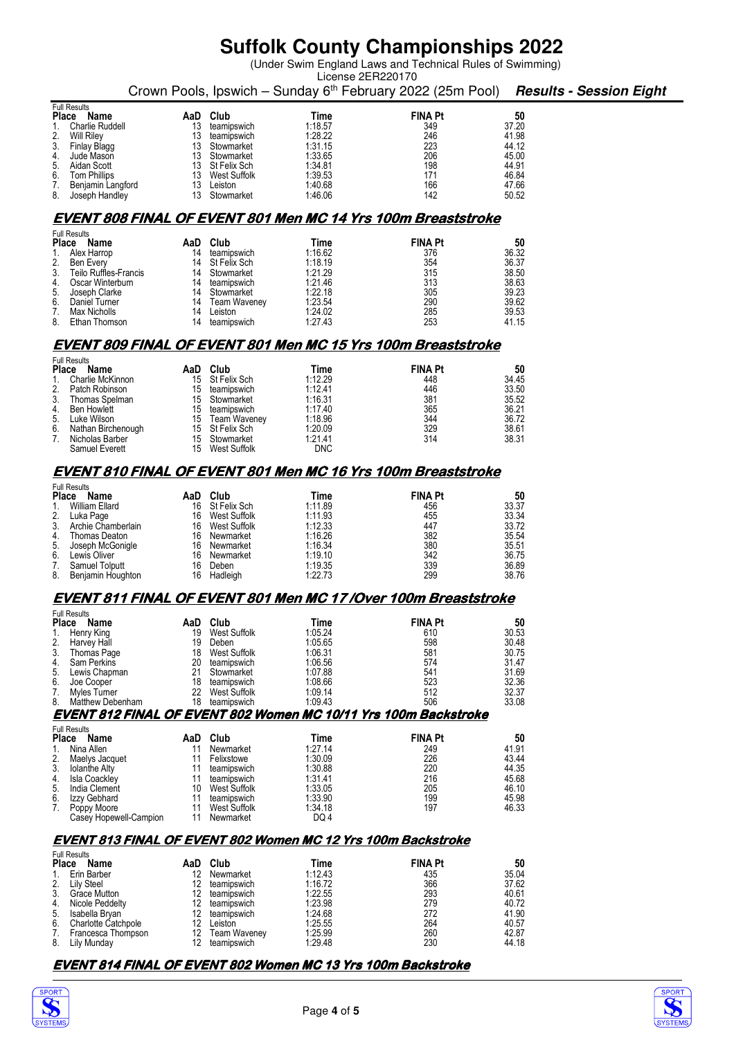(Under Swim England Laws and Technical Rules of Swimming)

|                                                        |                                                                     |                                   |                    | License 2ER220170                                                                  |                |  |  |  |
|--------------------------------------------------------|---------------------------------------------------------------------|-----------------------------------|--------------------|------------------------------------------------------------------------------------|----------------|--|--|--|
|                                                        |                                                                     |                                   |                    | Crown Pools, Ipswich - Sunday 6th February 2022 (25m Pool) Results - Session Eight |                |  |  |  |
| <b>Full Results</b><br>Place Name                      |                                                                     | AaD Club                          | Time               | <b>FINA Pt</b>                                                                     | 50             |  |  |  |
| Charlie Ruddell                                        | 13                                                                  | teamipswich                       | 1:18.57            | 349                                                                                | 37.20          |  |  |  |
| 2.<br>Will Riley<br>3.<br>Finlay Blagg                 | 13<br>13                                                            | teamipswich<br>Stowmarket         | 1:28.22<br>1:31.15 | 246<br>223                                                                         | 41.98<br>44.12 |  |  |  |
| 4.<br>Jude Mason                                       | 13                                                                  | Stowmarket                        | 1:33.65            | 206                                                                                | 45.00          |  |  |  |
| 5.<br>Aidan Scott                                      | 13                                                                  | St Felix Sch                      | 1:34.81            | 198                                                                                | 44.91          |  |  |  |
| 6.<br><b>Tom Phillips</b><br>7.<br>Benjamin Langford   | 13<br>13                                                            | West Suffolk<br>Leiston           | 1:39.53<br>1:40.68 | 171<br>166                                                                         | 46.84<br>47.66 |  |  |  |
| 8.<br>Joseph Handley                                   | 13                                                                  | Stowmarket                        | 1:46.06            | 142                                                                                | 50.52          |  |  |  |
|                                                        |                                                                     |                                   |                    |                                                                                    |                |  |  |  |
|                                                        |                                                                     |                                   |                    | EVENT 808 FINAL OF EVENT 801 Men MC 14 Yrs 100m Breaststroke                       |                |  |  |  |
| <b>Full Results</b><br>Place Name                      | AaD                                                                 | Club                              | Time               | <b>FINA Pt</b>                                                                     | 50             |  |  |  |
| Alex Harrop                                            | 14                                                                  | teamipswich                       | 1:16.62            | 376                                                                                | 36.32          |  |  |  |
| 2.<br>Ben Every<br>3.<br><b>Teilo Ruffles-Francis</b>  | 14<br>14                                                            | St Felix Sch<br>Stowmarket        | 1:18.19<br>1:21.29 | 354<br>315                                                                         | 36.37<br>38.50 |  |  |  |
| Oscar Winterburn<br>4.                                 | 14                                                                  | teamipswich                       | 1:21.46            | 313                                                                                | 38.63          |  |  |  |
| 5.<br>Joseph Clarke<br>6.<br>Daniel Turner             | 14<br>14                                                            | Stowmarket                        | 1:22.18<br>1:23.54 | 305<br>290                                                                         | 39.23<br>39.62 |  |  |  |
| Max Nicholls<br>7.                                     | 14                                                                  | Team Waveney<br>Leiston           | 1:24.02            | 285                                                                                | 39.53          |  |  |  |
| 8.<br>Ethan Thomson                                    | 14                                                                  | teamipswich                       | 1:27.43            | 253                                                                                | 41.15          |  |  |  |
|                                                        |                                                                     |                                   |                    | EVENT 809 FINAL OF EVENT 801 Men MC 15 Yrs 100m Breaststroke                       |                |  |  |  |
| <b>Full Results</b>                                    |                                                                     |                                   |                    |                                                                                    |                |  |  |  |
| Place<br>Name                                          |                                                                     | AaD Club                          | Time               | <b>FINA Pt</b>                                                                     | 50             |  |  |  |
| Charlie McKinnon<br>1.<br>2.<br>Patch Robinson         |                                                                     | 15 St Felix Sch<br>15 teamipswich | 1:12.29<br>1:12.41 | 448<br>446                                                                         | 34.45<br>33.50 |  |  |  |
| 3.<br>Thomas Spelman                                   | 15                                                                  | Stowmarket                        | 1:16.31            | 381                                                                                | 35.52          |  |  |  |
| 4.<br><b>Ben Howlett</b>                               | 15                                                                  | teamipswich                       | 1:17.40            | 365                                                                                | 36.21          |  |  |  |
| 5.<br>Luke Wilson<br>6.<br>Nathan Birchenough          | 15<br>15                                                            | Team Waveney<br>St Felix Sch      | 1:18.96<br>1:20.09 | 344<br>329                                                                         | 36.72<br>38.61 |  |  |  |
| 7.<br>Nicholas Barber                                  | 15                                                                  | Stowmarket                        | 1:21.41            | 314                                                                                | 38.31          |  |  |  |
| Samuel Everett                                         |                                                                     | 15 West Suffolk                   | <b>DNC</b>         |                                                                                    |                |  |  |  |
|                                                        |                                                                     |                                   |                    | <b>EVENT 810 FINAL OF EVENT 801 Men MC 16 Yrs 100m Breaststroke</b>                |                |  |  |  |
| <b>Full Results</b>                                    |                                                                     |                                   |                    |                                                                                    |                |  |  |  |
| Place Name                                             |                                                                     | AaD Club                          | Time               | <b>FINA Pt</b>                                                                     | 50             |  |  |  |
| William Ellard<br>1.<br>2.<br>Luka Page                | 16                                                                  | 16 St Felix Sch<br>West Suffolk   | 1:11.89<br>1:11.93 | 456<br>455                                                                         | 33.37<br>33.34 |  |  |  |
| 3.<br>Archie Chamberlain                               |                                                                     | 16 West Suffolk                   | 1:12.33            | 447                                                                                | 33.72          |  |  |  |
| 4.<br>Thomas Deaton                                    | 16                                                                  | Newmarket                         | 1:16.26<br>1:16.34 | 382<br>380                                                                         | 35.54<br>35.51 |  |  |  |
| 5.<br>Joseph McGonigle<br>6.<br>Lewis Oliver           | 16<br>16                                                            | Newmarket<br>Newmarket            | 1:19.10            | 342                                                                                | 36.75          |  |  |  |
| 7.<br>Samuel Tolputt                                   | 16                                                                  | Deben                             | 1:19.35            | 339                                                                                | 36.89          |  |  |  |
| 8.<br>Benjamin Houghton                                | 16                                                                  | Hadleigh                          | 1:22.73            | 299                                                                                | 38.76          |  |  |  |
|                                                        |                                                                     |                                   |                    | EVENT 811 FINAL OF EVENT 801 Men MC 17 /Over 100m Breaststroke                     |                |  |  |  |
| <b>Full Results</b>                                    |                                                                     |                                   |                    |                                                                                    |                |  |  |  |
| <b>Place</b><br>Name<br>Henry King<br>1.               | 19                                                                  | AaD Club<br>West Suffolk          | Time<br>1:05.24    | <b>FINA Pt</b><br>610                                                              | 50<br>30.53    |  |  |  |
| 2.<br>Harvey Hall                                      | 19                                                                  | Deben                             | 1:05.65            | 598                                                                                | 30.48          |  |  |  |
| 3.<br>Thomas Page<br>Sam Perkins<br>4.                 | 18<br>20                                                            | West Suffolk                      | 1:06.31<br>1:06.56 | 581<br>574                                                                         | 30.75<br>31.47 |  |  |  |
| 5.<br>Lewis Chapman                                    | 21                                                                  | teamipswich<br>Stowmarket         | 1:07.88            | 541                                                                                | 31.69          |  |  |  |
| Joe Cooper<br>6.                                       | 18                                                                  | teamipswich                       | 1:08.66            | 523                                                                                | 32.36          |  |  |  |
| 7.<br>Myles Turner<br>8.<br>Matthew Debenham           | 22<br>18                                                            | West Suffolk<br>teamipswich       | 1:09.14<br>1:09.43 | 512<br>506                                                                         | 32.37<br>33.08 |  |  |  |
|                                                        |                                                                     |                                   |                    | EVENT 812 FINAL OF EVENT 802 Women MC 10/11 Yrs 100m Backstroke                    |                |  |  |  |
| <b>Full Results</b>                                    |                                                                     |                                   |                    |                                                                                    |                |  |  |  |
| Place Name<br>Nina Allen<br>1.                         | AaD<br>11                                                           | Club<br>Newmarket                 | Time<br>1:27.14    | <b>FINA Pt</b><br>249                                                              | 50<br>41.91    |  |  |  |
| 2.<br>Maelys Jacquet                                   | 11                                                                  | Felixstowe                        | 1:30.09            | 226                                                                                | 43.44          |  |  |  |
| 3.<br>Iolanthe Alty                                    | 11                                                                  | teamipswich                       | 1:30.88            | 220                                                                                | 44.35          |  |  |  |
| Isla Coackley<br>4.<br>5.<br>India Clement             | 11<br>10                                                            | teamipswich<br>West Suffolk       | 1:31.41<br>1:33.05 | 216<br>205                                                                         | 45.68<br>46.10 |  |  |  |
| Izzy Gebhard<br>6.                                     | 11                                                                  | teamipswich                       | 1:33.90            | 199                                                                                | 45.98          |  |  |  |
| 7.<br>Poppy Moore<br>Casey Hopewell-Campion            | 11<br>11                                                            | West Suffolk<br>Newmarket         | 1:34.18<br>DQ 4    | 197                                                                                | 46.33          |  |  |  |
|                                                        |                                                                     |                                   |                    |                                                                                    |                |  |  |  |
|                                                        | <b>EVENT 813 FINAL OF EVENT 802 Women MC 12 Yrs 100m Backstroke</b> |                                   |                    |                                                                                    |                |  |  |  |
| <b>Full Results</b><br>Place Name                      |                                                                     | AaD Club                          | Time               | <b>FINA Pt</b>                                                                     | 50             |  |  |  |
| Erin Barber<br>$1_{-}$                                 |                                                                     | 12 Newmarket                      | 1:12.43            | 435                                                                                | 35.04          |  |  |  |
| 2.<br>Lily Steel<br>3.<br>Grace Mutton                 | 12<br>12                                                            | teamipswich<br>teamipswich        | 1:16.72<br>1:22.55 | 366<br>293                                                                         | 37.62<br>40.61 |  |  |  |
| Nicole Peddelty<br>4.                                  | 12                                                                  | teamipswich                       | 1:23.98            | 279                                                                                | 40.72          |  |  |  |
| 5.<br>Isabella Bryan<br>6.                             | 12<br>12                                                            | teamipswich<br>Leiston            | 1:24.68<br>1:25.55 | 272<br>264                                                                         | 41.90<br>40.57 |  |  |  |
| <b>Charlotte Catchpole</b><br>Francesca Thompson<br>7. | 12                                                                  | <b>Team Waveney</b>               | 1:25.99            | 260                                                                                | 42.87          |  |  |  |
| 8.<br>Lily Munday                                      | 12                                                                  | teamipswich                       | 1:29.48            | 230                                                                                | 44.18          |  |  |  |
|                                                        |                                                                     |                                   |                    | EVENT 814 FINAL OF EVENT 802 Women MC 13 Yrs 100m Backstroke                       |                |  |  |  |